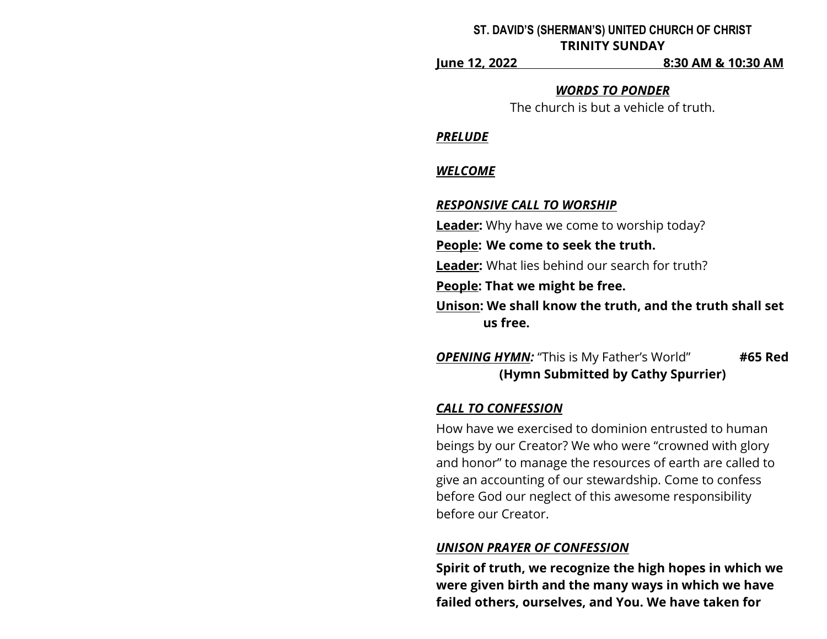### **ST. DAVID'S (SHERMAN'S) UNITED CHURCH OF CHRIST TRINITY SUNDAY**

**June 12, 2022 8:30 AM & 10:30 AM**

### *WORDS TO PONDER*

The church is but a vehicle of truth.

### *PRELUDE*

## *WELCOME*

## *RESPONSIVE CALL TO WORSHIP*

**Leader:** Why have we come to worship today?

**People: We come to seek the truth.**

**Leader:** What lies behind our search for truth?

**People: That we might be free.**

**Unison: We shall know the truth, and the truth shall set us free.**

*OPENING HYMN:* "This is My Father's World" **#65 Red (Hymn Submitted by Cathy Spurrier)**

# *CALL TO CONFESSION*

How have we exercised to dominion entrusted to human beings by our Creator? We who were "crowned with glory and honor" to manage the resources of earth are called to give an accounting of our stewardship. Come to confess before God our neglect of this awesome responsibility before our Creator.

# *UNISON PRAYER OF CONFESSION*

**Spirit of truth, we recognize the high hopes in which we were given birth and the many ways in which we have failed others, ourselves, and You. We have taken for**